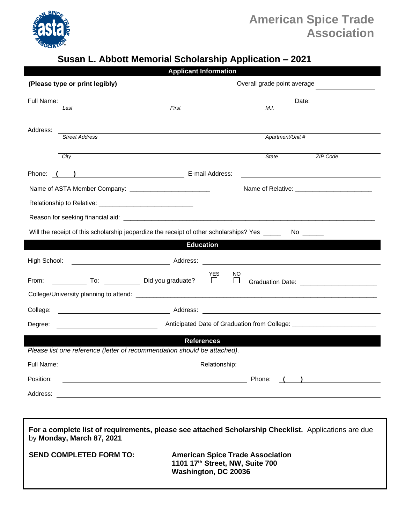

## **American Spice Trade Association**

## **Susan L. Abbott Memorial Scholarship Application – 2021**

| <b>Applicant Information</b>                                                                                                      |                                                                                                                                                                                                          |
|-----------------------------------------------------------------------------------------------------------------------------------|----------------------------------------------------------------------------------------------------------------------------------------------------------------------------------------------------------|
| (Please type or print legibly)                                                                                                    | Overall grade point average                                                                                                                                                                              |
| Full Name:                                                                                                                        | Date:<br><u> 1980 - Jan Stein Stein Stein Stein Stein Stein Stein Stein Stein Stein Stein Stein Stein Stein Stein Stein S</u>                                                                            |
| First<br>Last                                                                                                                     | M.I.                                                                                                                                                                                                     |
|                                                                                                                                   |                                                                                                                                                                                                          |
| Address:<br><b>Street Address</b>                                                                                                 | Apartment/Unit #                                                                                                                                                                                         |
|                                                                                                                                   |                                                                                                                                                                                                          |
| City                                                                                                                              | State<br>ZIP Code                                                                                                                                                                                        |
| E-mail Address:<br>Phone:                                                                                                         |                                                                                                                                                                                                          |
|                                                                                                                                   |                                                                                                                                                                                                          |
|                                                                                                                                   |                                                                                                                                                                                                          |
|                                                                                                                                   |                                                                                                                                                                                                          |
| Will the receipt of this scholarship jeopardize the receipt of other scholarships? Yes _____<br>No ________                       |                                                                                                                                                                                                          |
| <b>Education</b>                                                                                                                  |                                                                                                                                                                                                          |
| High School:                                                                                                                      | <u> 1980 - Johann Barbara, martxa amerikan bashkar (</u>                                                                                                                                                 |
| To: Did you graduate?<br>From:                                                                                                    | YES.<br>NO.<br>$\Box$<br>$\overline{\phantom{a}}$<br>Graduation Date: ________________________                                                                                                           |
|                                                                                                                                   |                                                                                                                                                                                                          |
| College:                                                                                                                          | <u>Address:</u> Address: <b>Address: Address:  Address:  Address:  Address:  Address:  Address:  Address:  Address:  Address:  Address:  Address:  Address:  Address:  Address:  Address:  Address: </b> |
| Degree:                                                                                                                           |                                                                                                                                                                                                          |
| <b>References</b>                                                                                                                 |                                                                                                                                                                                                          |
| Please list one reference (letter of recommendation should be attached).                                                          |                                                                                                                                                                                                          |
| Full Name:<br>Relationship:                                                                                                       |                                                                                                                                                                                                          |
| Position:                                                                                                                         |                                                                                                                                                                                                          |
|                                                                                                                                   |                                                                                                                                                                                                          |
|                                                                                                                                   |                                                                                                                                                                                                          |
| For a complete list of requirements, please see attached Scholarship Checklist. Applications are due<br>by Monday, March 87, 2021 |                                                                                                                                                                                                          |

**SEND COMPLETED FORM TO: American Spice Trade Association 1101 17th Street, NW, Suite 700 Washington, DC 20036**